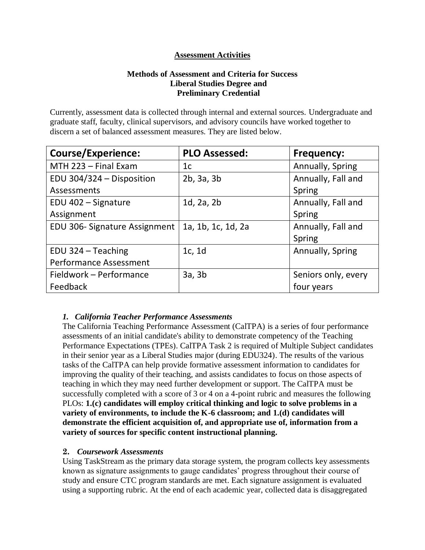# **Assessment Activities**

# **Methods of Assessment and Criteria for Success Liberal Studies Degree and Preliminary Credential**

Currently, assessment data is collected through internal and external sources. Undergraduate and graduate staff, faculty, clinical supervisors, and advisory councils have worked together to discern a set of balanced assessment measures. They are listed below.

| <b>Course/Experience:</b>     | <b>PLO Assessed:</b> | <b>Frequency:</b>   |
|-------------------------------|----------------------|---------------------|
| MTH 223 - Final Exam          | 1c                   | Annually, Spring    |
| EDU 304/324 - Disposition     | 2b, 3a, 3b           | Annually, Fall and  |
| Assessments                   |                      | Spring              |
| EDU 402 - Signature           | $1d$ , $2a$ , $2b$   | Annually, Fall and  |
| Assignment                    |                      | Spring              |
| EDU 306- Signature Assignment | 1a, 1b, 1c, 1d, 2a   | Annually, Fall and  |
|                               |                      | Spring              |
| EDU 324 - Teaching            | 1c, 1d               | Annually, Spring    |
| <b>Performance Assessment</b> |                      |                     |
| Fieldwork - Performance       | 3a, 3b               | Seniors only, every |
| Feedback                      |                      | four years          |

#### *1. California Teacher Performance Assessments*

The [California Teaching Performance](https://portal.pointloma.edu/web/education/home/-/wiki/Main/Glossary) Assessment (CalTPA) is a series of four performance [assessment](https://portal.pointloma.edu/web/education/home/-/wiki/Main/Glossary)s of an initial candidate's ability to demonstrate competency of the [Teaching](https://portal.pointloma.edu/web/education/home/-/wiki/Main/TPES)  [Performance Expectations \(TPEs\).](https://portal.pointloma.edu/web/education/home/-/wiki/Main/TPES) CalTPA Task 2 is required of Multiple Subject candidates in their senior year as a Liberal Studies major (during EDU324). The results of the various tasks of the CalTPA can help provide formative assessment information to candidates for improving the quality of their teaching, and assists candidates to focus on those aspects of teaching in which they may need further development or support. The CalTPA must be successfully completed with a score of 3 or 4 on a 4-point rubric and measures the following PLOs: **1.(c) candidates will employ critical thinking and logic to solve problems in a variety of environments, to include the K-6 classroom; and 1.(d) candidates will demonstrate the efficient acquisition of, and appropriate use of, information from a variety of sources for specific content instructional planning.**

#### **2.** *Coursework Assessments*

Using TaskStream as the primary data storage system, the program collects key assessments known as signature assignments to gauge candidates' progress throughout their course of study and ensure CTC program standards are met. Each signature assignment is evaluated using a supporting rubric. At the end of each academic year, collected data is disaggregated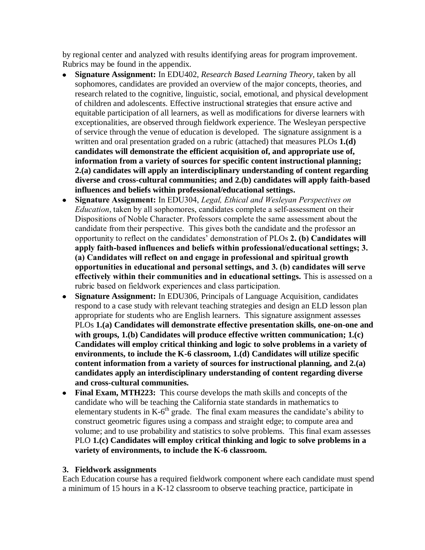by regional center and analyzed with results identifying areas for program improvement. Rubrics may be found in the appendix.

- **Signature Assignment:** In EDU402, *Research Based Learning Theory,* taken by all sophomores, candidates are provided an overview of the major concepts, theories, and research related to the cognitive, linguistic, social, emotional, and physical development of children and adolescents. Effective instructional **s**trategies that ensure active and equitable participation of all learners, as well as modifications for diverse learners with exceptionalities, are observed through fieldwork experience. The Wesleyan perspective of service through the venue of education is developed. The signature assignment is a written and oral presentation graded on a rubric (attached) that measures PLOs **1.(d) candidates will demonstrate the efficient acquisition of, and appropriate use of, information from a variety of sources for specific content instructional planning; 2.(a) candidates will apply an interdisciplinary understanding of content regarding diverse and cross-cultural communities; and 2.(b) candidates will apply faith-based influences and beliefs within professional/educational settings.**
- **Signature Assignment:** In EDU304, *Legal, Ethical and Wesleyan Perspectives on*   $\bullet$ *Education*, taken by all sophomores, candidates complete a self-assessment on their Dispositions of Noble Character. Professors complete the same assessment about the candidate from their perspective. This gives both the candidate and the professor an opportunity to reflect on the candidates' demonstration of PLOs **2. (b) Candidates will apply faith-based influences and beliefs within professional/educational settings; 3. (a) Candidates will reflect on and engage in professional and spiritual growth opportunities in educational and personal settings, and 3. (b) candidates will serve effectively within their communities and in educational settings.** This is assessed on a rubric based on fieldwork experiences and class participation.
- **Signature Assignment:** In EDU306, Principals of Language Acquisition, candidates respond to a case study with relevant teaching strategies and design an ELD lesson plan appropriate for students who are English learners. This signature assignment assesses PLOs **1.(a) Candidates will demonstrate effective presentation skills, one-on-one and with groups, 1.(b) Candidates will produce effective written communication; 1.(c) Candidates will employ critical thinking and logic to solve problems in a variety of environments, to include the K-6 classroom, 1.(d) Candidates will utilize specific content information from a variety of sources for instructional planning, and 2.(a) candidates apply an interdisciplinary understanding of content regarding diverse and cross-cultural communities.**
- **Final Exam, MTH223:** This course develops the math skills and concepts of the candidate who will be teaching the California state standards in mathematics to elementary students in  $K$ -6<sup>th</sup> grade. The final exam measures the candidate's ability to construct geometric figures using a compass and straight edge; to compute area and volume; and to use probability and statistics to solve problems. This final exam assesses PLO **1.(c) Candidates will employ critical thinking and logic to solve problems in a variety of environments, to include the K-6 classroom.**

#### **3. Fieldwork assignments**

Each Education course has a required fieldwork component where each candidate must spend a minimum of 15 hours in a K-12 classroom to observe teaching practice, participate in